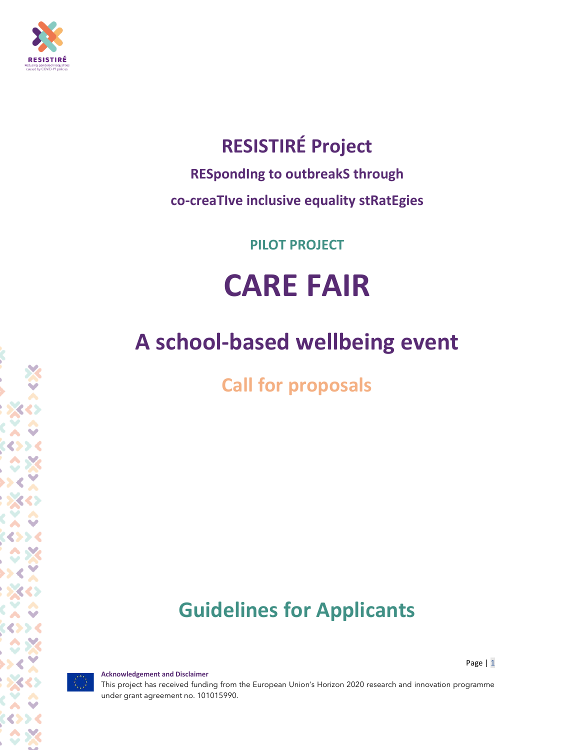

## **RESISTIRÉ Project**

**RESpondIng to outbreakS through**

**co-creaTIve inclusive equality stRatEgies**

**PILOT PROJECT**

# **CARE FAIR**

## **A school-based wellbeing event**

**Call for proposals**

## **Guidelines for Applicants**

Page | 1

This project has received funding from the European Union's Horizon 2020 research and innovation programme under grant agreement no. 101015990.

**Acknowledgement and Disclaimer**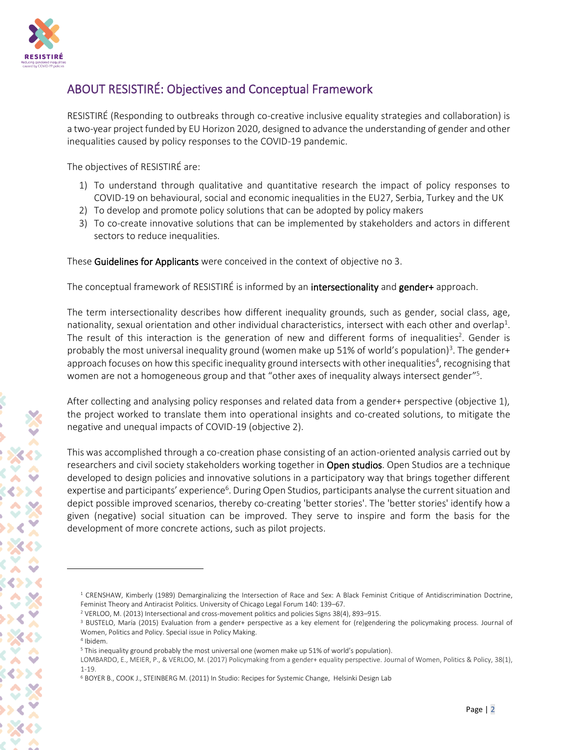

## ABOUT RESISTIRÉ: Objectives and Conceptual Framework

RESISTIRÉ (Responding to outbreaks through co-creative inclusive equality strategies and collaboration) is a two-year project funded by EU Horizon 2020, designed to advance the understanding of gender and other inequalities caused by policy responses to the COVID-19 pandemic.

The objectives of RESISTIRÉ are:

- 1) To understand through qualitative and quantitative research the impact of policy responses to COVID-19 on behavioural, social and economic inequalities in the EU27, Serbia, Turkey and the UK
- 2) To develop and promote policy solutions that can be adopted by policy makers
- 3) To co-create innovative solutions that can be implemented by stakeholders and actors in different sectors to reduce inequalities.

These Guidelines for Applicants were conceived in the context of objective no 3.

The conceptual framework of RESISTIRE is informed by an **intersectionality** and **gender+** approach.

The term intersectionality describes how different inequality grounds, such as gender, social class, age, nationality, sexual orientation and other individual characteristics, intersect with each other and overlap<sup>1</sup>. The result of this interaction is the generation of new and different forms of inequalities<sup>2</sup>. Gender is probably the most universal inequality ground (women make up 51% of world's population)<sup>3</sup>. The gender+ approach focuses on how this specific inequality ground intersects with other inequalities<sup>4</sup>, recognising that women are not a homogeneous group and that "other axes of inequality always intersect gender"<sup>5</sup>.

After collecting and analysing policy responses and related data from a gender+ perspective (objective 1), the project worked to translate them into operational insights and co-created solutions, to mitigate the negative and unequal impacts of COVID-19 (objective 2).

This was accomplished through a co-creation phase consisting of an action-oriented analysis carried out by researchers and civil society stakeholders working together in Open studios. Open Studios are a technique developed to design policies and innovative solutions in a participatory way that brings together different expertise and participants' experience<sup>6</sup>. During Open Studios, participants analyse the current situation and depict possible improved scenarios, thereby co-creating 'better stories'. The 'better stories' identify how a given (negative) social situation can be improved. They serve to inspire and form the basis for the development of more concrete actions, such as pilot projects.

<sup>&</sup>lt;sup>1</sup> CRENSHAW, Kimberly (1989) Demarginalizing the Intersection of Race and Sex: A Black Feminist Critique of Antidiscrimination Doctrine, Feminist Theory and Antiracist Politics. University of Chicago Legal Forum 140: 139–67.

<sup>2</sup> VERLOO, M. (2013) Intersectional and cross-movement politics and policies Signs 38(4), 893–915.

<sup>&</sup>lt;sup>3</sup> BUSTELO, María (2015) Evaluation from a gender+ perspective as a key element for (re)gendering the policymaking process. Journal of Women, Politics and Policy. Special issue in Policy Making.

<sup>4</sup> Ibidem.

<sup>5</sup> This inequality ground probably the most universal one (women make up 51% of world's population).

LOMBARDO, E., MEIER, P., & VERLOO, M. (2017) Policymaking from a gender+ equality perspective. Journal of Women, Politics & Policy, 38(1), 1-19.

<sup>6</sup> BOYER B., COOK J., STEINBERG M. (2011) In Studio: Recipes for Systemic Change, Helsinki Design Lab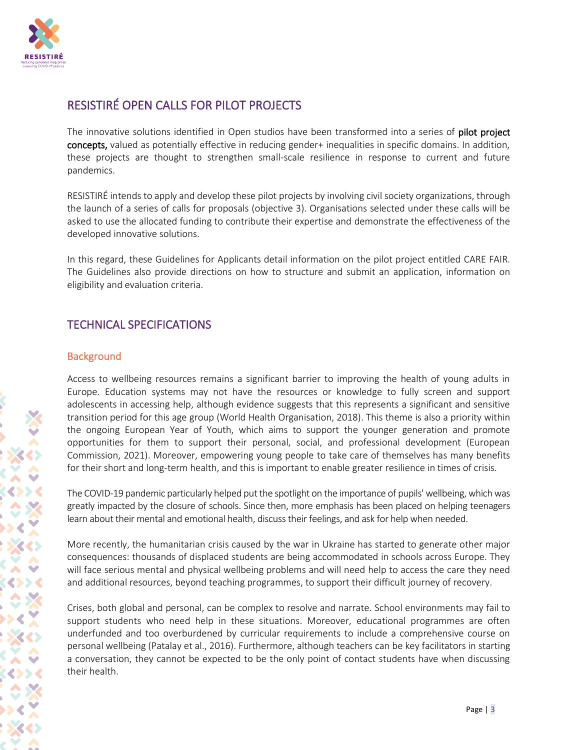

## RESISTIRÉ OPEN CALLS FOR PILOT PROJECTS

The innovative solutions identified in Open studios have been transformed into a series of **pilot project** concepts, valued as potentially effective in reducing gender+ inequalities in specific domains. In addition, these projects are thought to strengthen small-scale resilience in response to current and future pandemics.

RESISTIRÉ intends to apply and develop these pilot projects by involving civil society organizations, through the launch of a series of calls for proposals (objective 3). Organisations selected under these calls will be asked to use the allocated funding to contribute their expertise and demonstrate the effectiveness of the developed innovative solutions.

In this regard, these Guidelines for Applicants detail information on the pilot project entitled CARE FAIR. The Guidelines also provide directions on how to structure and submit an application, information on eligibility and evaluation criteria.

## TECHNICAL SPECIFICATIONS

#### **Background**

Access to wellbeing resources remains a significant barrier to improving the health of young adults in Europe. Education systems may not have the resources or knowledge to fully screen and support adolescents in accessing help, although evidence suggests that this represents a significant and sensitive transition period for this age group (World Health Organisation, 2018). This theme is also a priority within the ongoing European Year of Youth, which aims to support the younger generation and promote opportunities for them to support their personal, social, and professional development (European Commission, 2021). Moreover, empowering young people to take care of themselves has many benefits for their short and long-term health, and this is important to enable greater resilience in times of crisis.

The COVID-19 pandemic particularly helped put the spotlight on the importance of pupils' wellbeing, which was greatly impacted by the closure of schools. Since then, more emphasis has been placed on helping teenagers learn about their mental and emotional health, discuss their feelings, and ask for help when needed.

More recently, the humanitarian crisis caused by the war in Ukraine has started to generate other major consequences: thousands of displaced students are being accommodated in schools across Europe. They will face serious mental and physical wellbeing problems and will need help to access the care they need and additional resources, beyond teaching programmes, to support their difficult journey of recovery.

Crises, both global and personal, can be complex to resolve and narrate. School environments may fail to support students who need help in these situations. Moreover, educational programmes are often underfunded and too overburdened by curricular requirements to include a comprehensive course on personal wellbeing (Patalay et al., 2016). Furthermore, although teachers can be key facilitators in starting a conversation, they cannot be expected to be the only point of contact students have when discussing their health.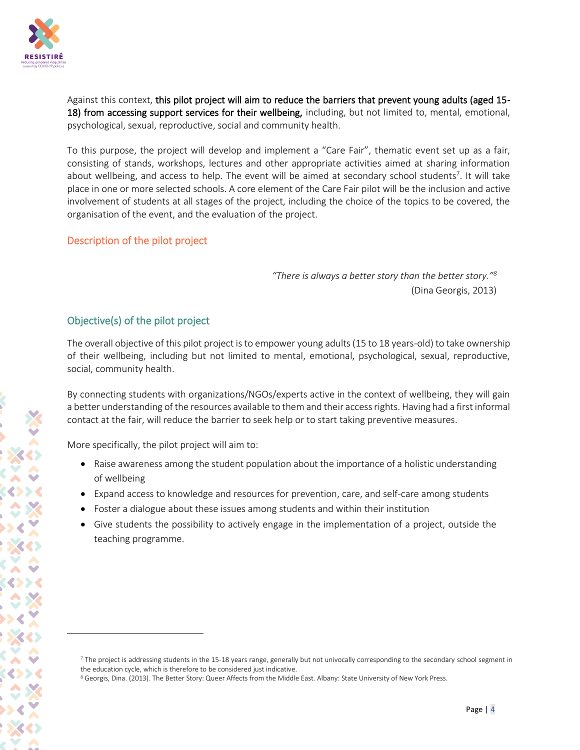

Against this context, this pilot project will aim to reduce the barriers that prevent young adults (aged 15- 18) from accessing support services for their wellbeing, including, but not limited to, mental, emotional, psychological, sexual, reproductive, social and community health.

To this purpose, the project will develop and implement a "Care Fair", thematic event set up as a fair, consisting of stands, workshops, lectures and other appropriate activities aimed at sharing information about wellbeing, and access to help. The event will be aimed at secondary school students<sup>7</sup>. It will take place in one or more selected schools. A core element of the Care Fair pilot will be the inclusion and active involvement of students at all stages of the project, including the choice of the topics to be covered, the organisation of the event, and the evaluation of the project.

## Description of the pilot project

*"There is always a better story than the better story."<sup>8</sup>* (Dina Georgis, 2013)

## Objective(s) of the pilot project

The overall objective of this pilot project is to empower young adults (15 to 18 years-old) to take ownership of their wellbeing, including but not limited to mental, emotional, psychological, sexual, reproductive, social, community health.

By connecting students with organizations/NGOs/experts active in the context of wellbeing, they will gain a better understanding of the resources available to them and their access rights. Having had a first informal contact at the fair, will reduce the barrier to seek help or to start taking preventive measures.

More specifically, the pilot project will aim to:

- Raise awareness among the student population about the importance of a holistic understanding of wellbeing
- Expand access to knowledge and resources for prevention, care, and self-care among students
- Foster a dialogue about these issues among students and within their institution
- Give students the possibility to actively engage in the implementation of a project, outside the teaching programme.

 $<sup>7</sup>$  The project is addressing students in the 15-18 years range, generally but not univocally corresponding to the secondary school segment in</sup> the education cycle, which is therefore to be considered just indicative.

<sup>&</sup>lt;sup>8</sup> Georgis, Dina. (2013). The Better Story: Queer Affects from the Middle East. Albany: State University of New York Press.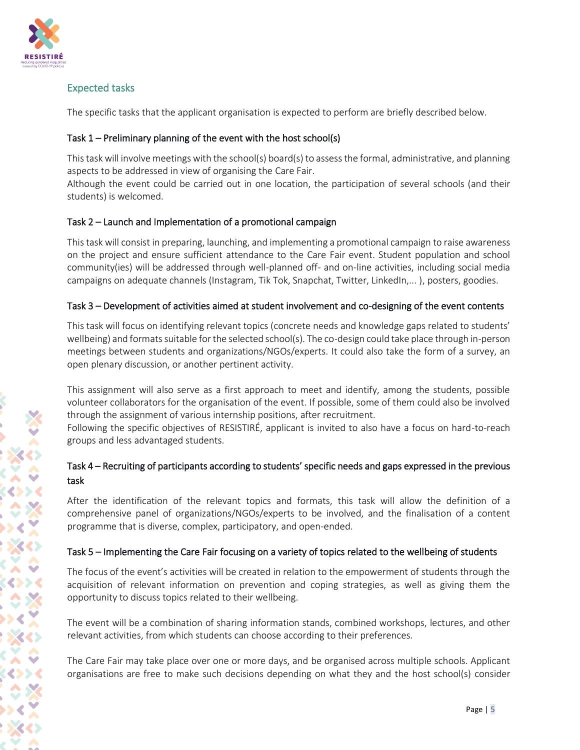

## Expected tasks

The specific tasks that the applicant organisation is expected to perform are briefly described below.

## Task 1 – Preliminary planning of the event with the host school(s)

This task will involve meetings with the school(s) board(s) to assess the formal, administrative, and planning aspects to be addressed in view of organising the Care Fair.

Although the event could be carried out in one location, the participation of several schools (and their students) is welcomed.

## Task 2 – Launch and Implementation of a promotional campaign

This task will consist in preparing, launching, and implementing a promotional campaign to raise awareness on the project and ensure sufficient attendance to the Care Fair event. Student population and school community(ies) will be addressed through well-planned off- and on-line activities, including social media campaigns on adequate channels (Instagram, Tik Tok, Snapchat, Twitter, LinkedIn,...), posters, goodies.

## Task 3 – Development of activities aimed at student involvement and co-designing of the event contents

This task will focus on identifying relevant topics (concrete needs and knowledge gaps related to students' wellbeing) and formats suitable for the selected school(s). The co-design could take place through in-person meetings between students and organizations/NGOs/experts. It could also take the form of a survey, an open plenary discussion, or another pertinent activity.

This assignment will also serve as a first approach to meet and identify, among the students, possible volunteer collaborators for the organisation of the event. If possible, some of them could also be involved through the assignment of various internship positions, after recruitment.

Following the specific objectives of RESISTIRÉ, applicant is invited to also have a focus on hard-to-reach groups and less advantaged students.

## Task 4 – Recruiting of participants according to students' specific needs and gaps expressed in the previous task

After the identification of the relevant topics and formats, this task will allow the definition of a comprehensive panel of organizations/NGOs/experts to be involved, and the finalisation of a content programme that is diverse, complex, participatory, and open-ended.

## Task 5 – Implementing the Care Fair focusing on a variety of topics related to the wellbeing of students

The focus of the event's activities will be created in relation to the empowerment of students through the acquisition of relevant information on prevention and coping strategies, as well as giving them the opportunity to discuss topics related to their wellbeing.

The event will be a combination of sharing information stands, combined workshops, lectures, and other relevant activities, from which students can choose according to their preferences.

The Care Fair may take place over one or more days, and be organised across multiple schools. Applicant organisations are free to make such decisions depending on what they and the host school(s) consider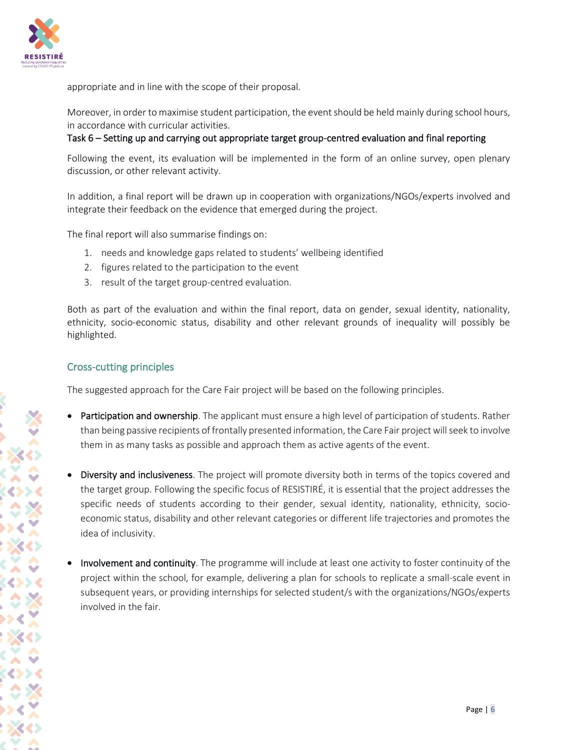

appropriate and in line with the scope of their proposal.

Moreover, in order to maximise student participation, the event should be held mainly during school hours, in accordance with curricular activities.

#### Task 6 – Setting up and carrying out appropriate target group-centred evaluation and final reporting

Following the event, its evaluation will be implemented in the form of an online survey, open plenary discussion, or other relevant activity.

In addition, a final report will be drawn up in cooperation with organizations/NGOs/experts involved and integrate their feedback on the evidence that emerged during the project.

The final report will also summarise findings on:

- 1. needs and knowledge gaps related to students' wellbeing identified
- 2. figures related to the participation to the event
- 3. result of the target group-centred evaluation.

Both as part of the evaluation and within the final report, data on gender, sexual identity, nationality, ethnicity, socio-economic status, disability and other relevant grounds of inequality will possibly be highlighted.

#### Cross-cutting principles

The suggested approach for the Care Fair project will be based on the following principles.

- Participation and ownership. The applicant must ensure a high level of participation of students. Rather than being passive recipients of frontally presented information, the Care Fair project willseek to involve them in as many tasks as possible and approach them as active agents of the event.
- Diversity and inclusiveness. The project will promote diversity both in terms of the topics covered and the target group. Following the specific focus of RESISTIRÉ, it is essential that the project addresses the specific needs of students according to their gender, sexual identity, nationality, ethnicity, socioeconomic status, disability and other relevant categories or different life trajectories and promotes the idea of inclusivity.
- Involvement and continuity. The programme will include at least one activity to foster continuity of the project within the school, for example, delivering a plan for schools to replicate a small-scale event in subsequent years, or providing internships for selected student/s with the organizations/NGOs/experts involved in the fair.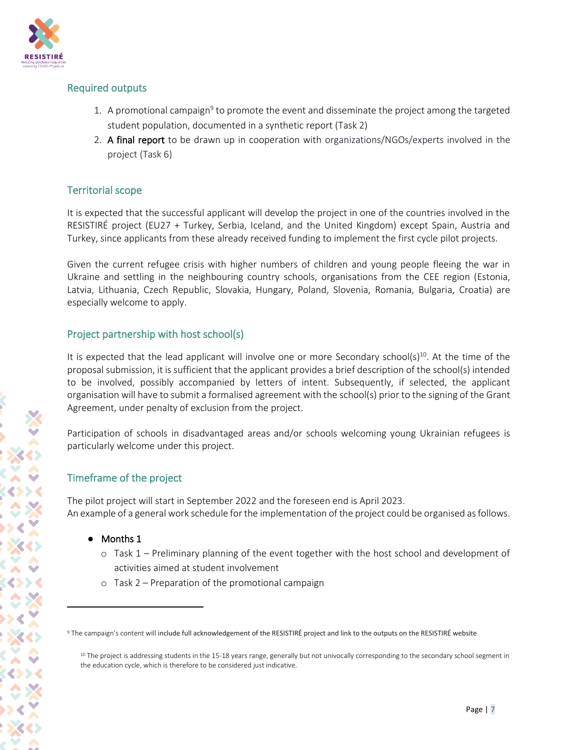

## Required outputs

- 1. A promotional campaign<sup>9</sup> to promote the event and disseminate the project among the targeted student population, documented in a synthetic report (Task 2)
- 2. A final report to be drawn up in cooperation with organizations/NGOs/experts involved in the project (Task 6)

## Territorial scope

It is expected that the successful applicant will develop the project in one of the countries involved in the RESISTIRÉ project (EU27 + Turkey, Serbia, Iceland, and the United Kingdom) except Spain, Austria and Turkey, since applicants from these already received funding to implement the first cycle pilot projects.

Given the current refugee crisis with higher numbers of children and young people fleeing the war in Ukraine and settling in the neighbouring country schools, organisations from the CEE region (Estonia, Latvia, Lithuania, Czech Republic, Slovakia, Hungary, Poland, Slovenia, Romania, Bulgaria, Croatia) are especially welcome to apply.

## Project partnership with host school(s)

It is expected that the lead applicant will involve one or more Secondary school( $s$ )<sup>10</sup>. At the time of the proposal submission, it is sufficient that the applicant provides a brief description of the school(s) intended to be involved, possibly accompanied by letters of intent. Subsequently, if selected, the applicant organisation will have to submit a formalised agreement with the school(s) prior to the signing of the Grant Agreement, under penalty of exclusion from the project.

Participation of schools in disadvantaged areas and/or schools welcoming young Ukrainian refugees is particularly welcome under this project.

## Timeframe of the project

The pilot project will start in September 2022 and the foreseen end is April 2023. An example of a general work schedule for the implementation of the project could be organised as follows.

- Months 1
	- o Task 1 Preliminary planning of the event together with the host school and development of activities aimed at student involvement
	- o Task 2 Preparation of the promotional campaign

<sup>&</sup>lt;sup>9</sup> The campaign's content will include full acknowledgement of the RESISTIRÉ project and link to the outputs on the RESISTIRÉ website

<sup>&</sup>lt;sup>10</sup> The project is addressing students in the 15-18 years range, generally but not univocally corresponding to the secondary school segment in the education cycle, which is therefore to be considered just indicative.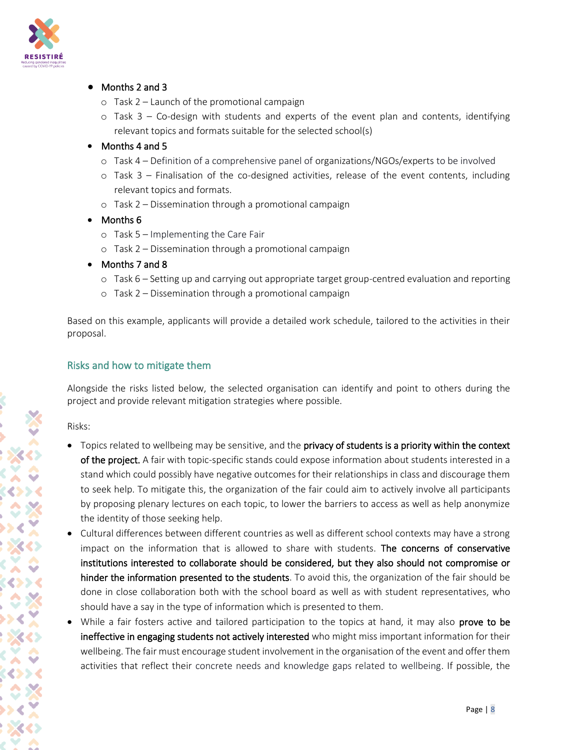

#### ● Months 2 and 3

- o Task 2 Launch of the promotional campaign
- $\circ$  Task 3 Co-design with students and experts of the event plan and contents, identifying relevant topics and formats suitable for the selected school(s)

#### • Months 4 and 5

- o Task 4 Definition of a comprehensive panel of organizations/NGOs/experts to be involved
- o Task 3 Finalisation of the co-designed activities, release of the event contents, including relevant topics and formats.
- o Task 2 Dissemination through a promotional campaign
- Months 6
	- o Task 5 Implementing the Care Fair
	- o Task 2 Dissemination through a promotional campaign
- Months 7 and 8
	- o Task 6 Setting up and carrying out appropriate target group-centred evaluation and reporting
	- o Task 2 Dissemination through a promotional campaign

Based on this example, applicants will provide a detailed work schedule, tailored to the activities in their proposal.

## Risks and how to mitigate them

Alongside the risks listed below, the selected organisation can identify and point to others during the project and provide relevant mitigation strategies where possible.

Risks:

- Topics related to wellbeing may be sensitive, and the privacy of students is a priority within the context of the project. A fair with topic-specific stands could expose information about students interested in a stand which could possibly have negative outcomes for their relationships in class and discourage them to seek help. To mitigate this, the organization of the fair could aim to actively involve all participants by proposing plenary lectures on each topic, to lower the barriers to access as well as help anonymize the identity of those seeking help.
- Cultural differences between different countries as well as different school contexts may have a strong impact on the information that is allowed to share with students. The concerns of conservative institutions interested to collaborate should be considered, but they also should not compromise or hinder the information presented to the students. To avoid this, the organization of the fair should be done in close collaboration both with the school board as well as with student representatives, who should have a say in the type of information which is presented to them.
- While a fair fosters active and tailored participation to the topics at hand, it may also prove to be ineffective in engaging students not actively interested who might miss important information for their wellbeing. The fair must encourage student involvement in the organisation of the event and offer them activities that reflect their concrete needs and knowledge gaps related to wellbeing. If possible, the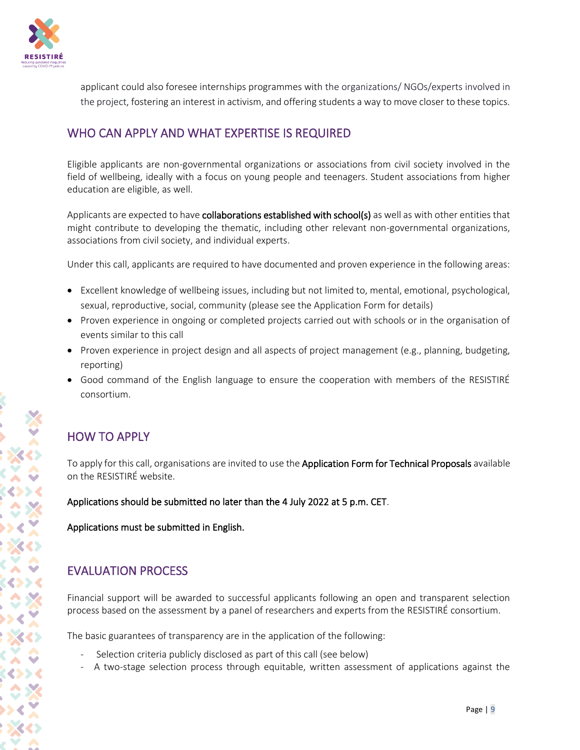

applicant could also foresee internships programmes with the organizations/ NGOs/experts involved in the project, fostering an interest in activism, and offering students a way to move closer to these topics.

## WHO CAN APPLY AND WHAT EXPERTISE IS REQUIRED

Eligible applicants are non-governmental organizations or associations from civil society involved in the field of wellbeing, ideally with a focus on young people and teenagers. Student associations from higher education are eligible, as well.

Applicants are expected to have collaborations established with school(s) as well as with other entities that might contribute to developing the thematic, including other relevant non-governmental organizations, associations from civil society, and individual experts.

Under this call, applicants are required to have documented and proven experience in the following areas:

- Excellent knowledge of wellbeing issues, including but not limited to, mental, emotional, psychological, sexual, reproductive, social, community (please see the Application Form for details)
- Proven experience in ongoing or completed projects carried out with schools or in the organisation of events similar to this call
- Proven experience in project design and all aspects of project management (e.g., planning, budgeting, reporting)
- Good command of the English language to ensure the cooperation with members of the RESISTIRÉ consortium.

## HOW TO APPLY

To apply for this call, organisations are invited to use the Application Form for Technical Proposals available on the RESISTIRÉ website.

Applications should be submitted no later than the 4 July 2022 at 5 p.m. CET.

Applications must be submitted in English.

## EVALUATION PROCESS

Financial support will be awarded to successful applicants following an open and transparent selection process based on the assessment by a panel of researchers and experts from the RESISTIRÉ consortium.

The basic guarantees of transparency are in the application of the following:

- Selection criteria publicly disclosed as part of this call (see below)
- A two-stage selection process through equitable, written assessment of applications against the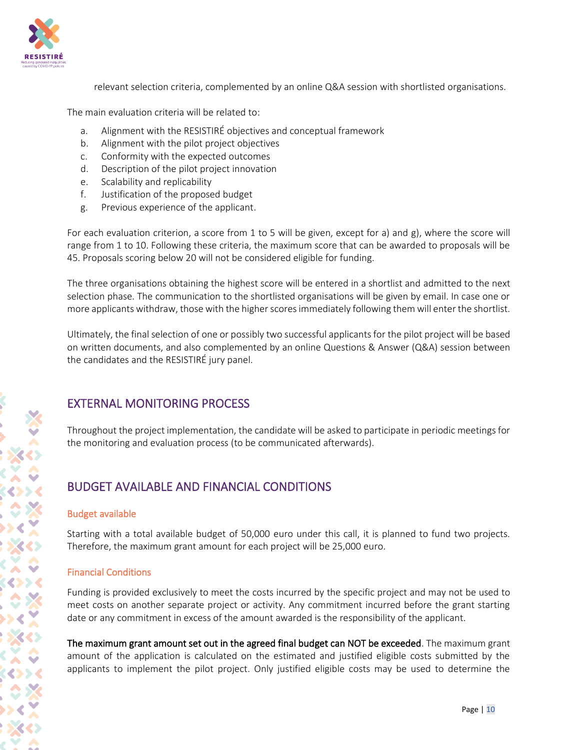

relevant selection criteria, complemented by an online Q&A session with shortlisted organisations.

The main evaluation criteria will be related to:

- a. Alignment with the RESISTIRÉ objectives and conceptual framework
- b. Alignment with the pilot project objectives
- c. Conformity with the expected outcomes
- d. Description of the pilot project innovation
- e. Scalability and replicability
- f. Justification of the proposed budget
- g. Previous experience of the applicant.

For each evaluation criterion, a score from 1 to 5 will be given, except for a) and g), where the score will range from 1 to 10. Following these criteria, the maximum score that can be awarded to proposals will be 45. Proposals scoring below 20 will not be considered eligible for funding.

The three organisations obtaining the highest score will be entered in a shortlist and admitted to the next selection phase. The communication to the shortlisted organisations will be given by email. In case one or more applicants withdraw, those with the higher scores immediately following them will enter the shortlist.

Ultimately, the final selection of one or possibly two successful applicants for the pilot project will be based on written documents, and also complemented by an online Questions & Answer (Q&A) session between the candidates and the RESISTIRÉ jury panel.

## EXTERNAL MONITORING PROCESS

Throughout the project implementation, the candidate will be asked to participate in periodic meetings for the monitoring and evaluation process (to be communicated afterwards).

## BUDGET AVAILABLE AND FINANCIAL CONDITIONS

#### Budget available

Starting with a total available budget of 50,000 euro under this call, it is planned to fund two projects. Therefore, the maximum grant amount for each project will be 25,000 euro.

## Financial Conditions

Funding is provided exclusively to meet the costs incurred by the specific project and may not be used to meet costs on another separate project or activity. Any commitment incurred before the grant starting date or any commitment in excess of the amount awarded is the responsibility of the applicant.

The maximum grant amount set out in the agreed final budget can NOT be exceeded. The maximum grant amount of the application is calculated on the estimated and justified eligible costs submitted by the applicants to implement the pilot project. Only justified eligible costs may be used to determine the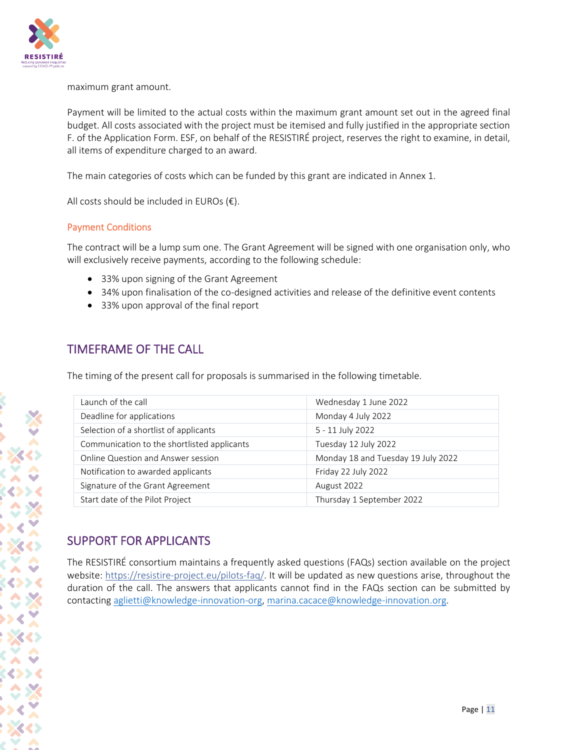

maximum grant amount.

Payment will be limited to the actual costs within the maximum grant amount set out in the agreed final budget. All costs associated with the project must be itemised and fully justified in the appropriate section F. of the Application Form. ESF, on behalf of the RESISTIRÉ project, reserves the right to examine, in detail, all items of expenditure charged to an award.

The main categories of costs which can be funded by this grant are indicated in Annex 1.

All costs should be included in EUROs  $(\epsilon)$ .

## Payment Conditions

The contract will be a lump sum one. The Grant Agreement will be signed with one organisation only, who will exclusively receive payments, according to the following schedule:

- 33% upon signing of the Grant Agreement
- 34% upon finalisation of the co-designed activities and release of the definitive event contents
- 33% upon approval of the final report

## TIMEFRAME OF THE CALL

The timing of the present call for proposals is summarised in the following timetable.

| Launch of the call                          | Wednesday 1 June 2022              |
|---------------------------------------------|------------------------------------|
| Deadline for applications                   | Monday 4 July 2022                 |
| Selection of a shortlist of applicants      | 5 - 11 July 2022                   |
| Communication to the shortlisted applicants | Tuesday 12 July 2022               |
| Online Question and Answer session          | Monday 18 and Tuesday 19 July 2022 |
| Notification to awarded applicants          | Friday 22 July 2022                |
| Signature of the Grant Agreement            | August 2022                        |
| Start date of the Pilot Project             | Thursday 1 September 2022          |

## SUPPORT FOR APPLICANTS

The RESISTIRÉ consortium maintains a frequently asked questions (FAQs) section available on the project website:<https://resistire-project.eu/pilots-faq/>. It will be updated as new questions arise, throughout the duration of the call. The answers that applicants cannot find in the FAQs section can be submitted by contacting [aglietti@knowledge-innovation-org,](mailto:aglietti@knowledge-innovation-org) [marina.cacace@knowledge-innovation.org.](mailto:marina.cacace@knowledge-innovation.org)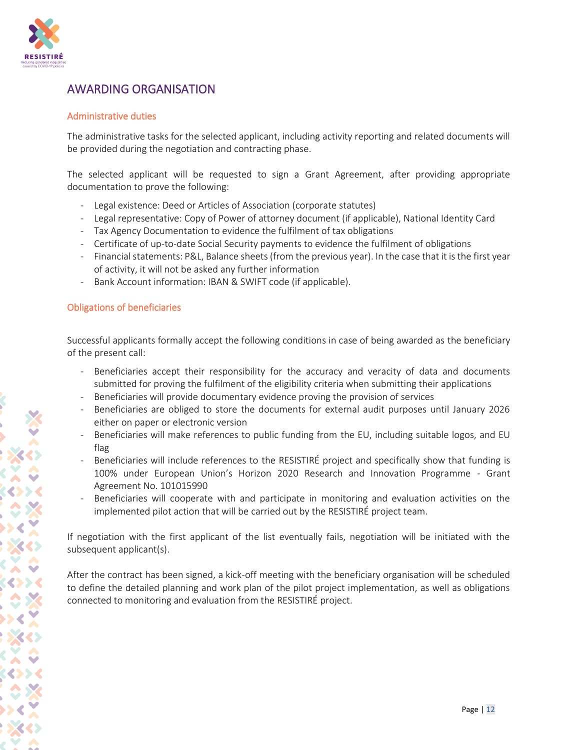

## AWARDING ORGANISATION

#### Administrative duties

The administrative tasks for the selected applicant, including activity reporting and related documents will be provided during the negotiation and contracting phase.

The selected applicant will be requested to sign a Grant Agreement, after providing appropriate documentation to prove the following:

- Legal existence: Deed or Articles of Association (corporate statutes)
- Legal representative: Copy of Power of attorney document (if applicable), National Identity Card
- Tax Agency Documentation to evidence the fulfilment of tax obligations
- Certificate of up-to-date Social Security payments to evidence the fulfilment of obligations
- Financial statements: P&L, Balance sheets (from the previous year). In the case that it is the first year of activity, it will not be asked any further information
- Bank Account information: IBAN & SWIFT code (if applicable).

## Obligations of beneficiaries

Successful applicants formally accept the following conditions in case of being awarded as the beneficiary of the present call:

- Beneficiaries accept their responsibility for the accuracy and veracity of data and documents submitted for proving the fulfilment of the eligibility criteria when submitting their applications
- Beneficiaries will provide documentary evidence proving the provision of services
- Beneficiaries are obliged to store the documents for external audit purposes until January 2026 either on paper or electronic version
- Beneficiaries will make references to public funding from the EU, including suitable logos, and EU flag
- Beneficiaries will include references to the RESISTIRÉ project and specifically show that funding is 100% under European Union's Horizon 2020 Research and Innovation Programme - Grant Agreement No. 101015990
- Beneficiaries will cooperate with and participate in monitoring and evaluation activities on the implemented pilot action that will be carried out by the RESISTIRÉ project team.

If negotiation with the first applicant of the list eventually fails, negotiation will be initiated with the subsequent applicant(s).

After the contract has been signed, a kick-off meeting with the beneficiary organisation will be scheduled to define the detailed planning and work plan of the pilot project implementation, as well as obligations connected to monitoring and evaluation from the RESISTIRÉ project.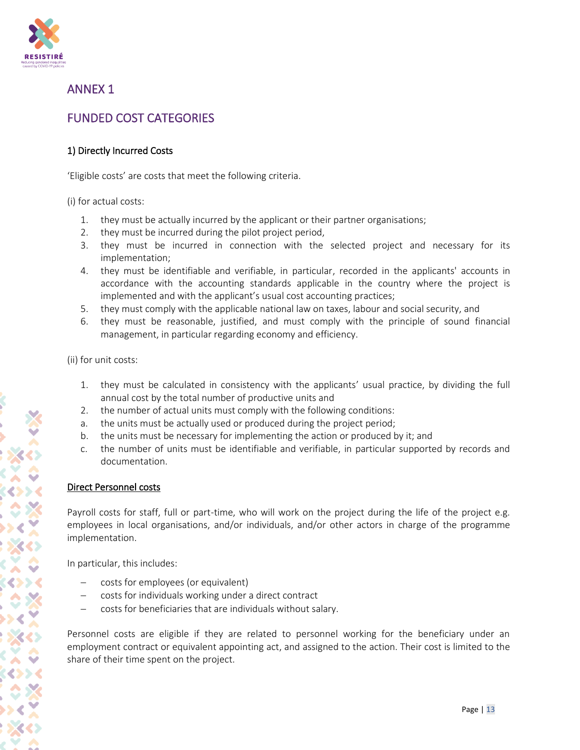

## ANNEX 1

## FUNDED COST CATEGORIES

## 1) Directly Incurred Costs

'Eligible costs' are costs that meet the following criteria.

(i) for actual costs:

- 1. they must be actually incurred by the applicant or their partner organisations;
- 2. they must be incurred during the pilot project period,
- 3. they must be incurred in connection with the selected project and necessary for its implementation;
- 4. they must be identifiable and verifiable, in particular, recorded in the applicants' accounts in accordance with the accounting standards applicable in the country where the project is implemented and with the applicant's usual cost accounting practices;
- 5. they must comply with the applicable national law on taxes, labour and social security, and
- 6. they must be reasonable, justified, and must comply with the principle of sound financial management, in particular regarding economy and efficiency.

(ii) for unit costs:

- 1. they must be calculated in consistency with the applicants' usual practice, by dividing the full annual cost by the total number of productive units and
- 2. the number of actual units must comply with the following conditions:
- a. the units must be actually used or produced during the project period;
- b. the units must be necessary for implementing the action or produced by it; and
- c. the number of units must be identifiable and verifiable, in particular supported by records and documentation.

## Direct Personnel costs

Payroll costs for staff, full or part-time, who will work on the project during the life of the project e.g. employees in local organisations, and/or individuals, and/or other actors in charge of the programme implementation.

In particular, this includes:

- − costs for employees (or equivalent)
- − costs for individuals working under a direct contract
- − costs for beneficiaries that are individuals without salary.

Personnel costs are eligible if they are related to personnel working for the beneficiary under an employment contract or equivalent appointing act, and assigned to the action. Their cost is limited to the share of their time spent on the project.